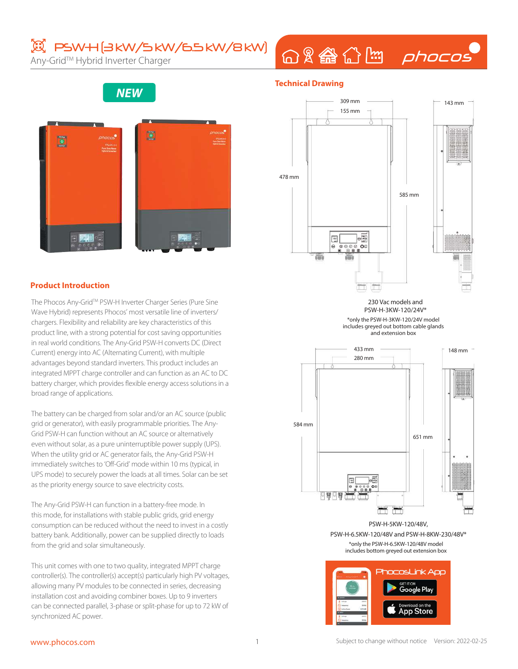# **図 PSWH(3kW/5kW/6.5kW/8kW)**

Any-Grid™ Hybrid Inverter Charger

# 命&● 合图 phocos

**NEW**



#### **Product Introduction**

The Phocos Any-Grid™ PSW-H Inverter Charger Series (Pure Sine Wave Hybrid) represents Phocos' most versatile line of inverters/ chargers. Flexibility and reliability are key characteristics of this product line, with a strong potential for cost saving opportunities in real world conditions. The Any-Grid PSW-H converts DC (Direct Current) energy into AC (Alternating Current), with multiple advantages beyond standard inverters. This product includes an integrated MPPT charge controller and can function as an AC to DC battery charger, which provides flexible energy access solutions in a broad range of applications.

The battery can be charged from solar and/or an AC source (public grid or generator), with easily programmable priorities. The Any-Grid PSW-H can function without an AC source or alternatively even without solar, as a pure uninterruptible power supply (UPS). When the utility grid or AC generator fails, the Any-Grid PSW-H immediately switches to 'Off-Grid' mode within 10 ms (typical, in UPS mode) to securely power the loads at all times. Solar can be set as the priority energy source to save electricity costs.

The Any-Grid PSW-H can function in a battery-free mode. In this mode, for installations with stable public grids, grid energy consumption can be reduced without the need to invest in a costly battery bank. Additionally, power can be supplied directly to loads from the grid and solar simultaneously.

This unit comes with one to two quality, integrated MPPT charge controller(s). The controller(s) accept(s) particularly high PV voltages, allowing many PV modules to be connected in series, decreasing installation cost and avoiding combiner boxes. Up to 9 inverters can be connected parallel, 3-phase or split-phase for up to 72 kW of synchronized AC power.



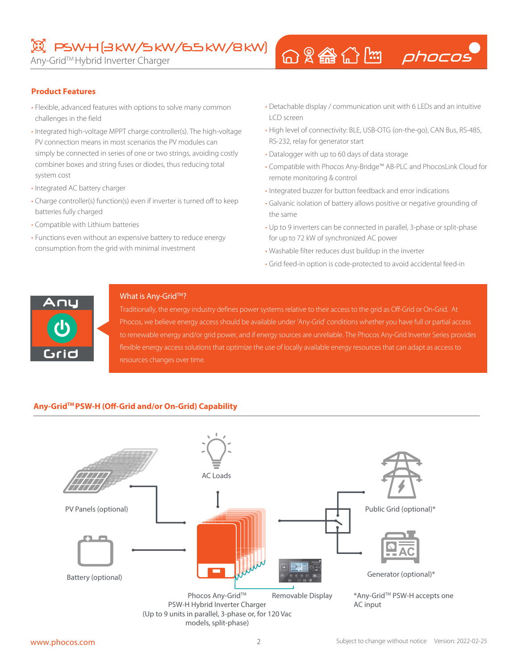### $\mathbb{E}$  PSW+I(3 kW/5 kW/6.5 kW/8 kW)

Any-Grid™ Hybrid Inverter Charger

## 

### **Product Features**

- Flexible, advanced features with options to solve many common challenges in the field
- Integrated high-voltage MPPT charge controller(s). The high-voltage PV connection means in most scenarios the PV modules can simply be connected in series of one or two strings, avoiding costly combiner boxes and string fuses or diodes, thus reducing total system cost
- Integrated AC battery charger
- Charge controller(s) function(s) even if inverter is turned off to keep batteries fully charged
- Compatible with Lithium batteries
- Functions even without an expensive battery to reduce energy consumption from the grid with minimal investment
- Detachable display / communication unit with 6 LEDs and an intuitive LCD screen
- High level of connectivity: BLE, USB-OTG (on-the-go), CAN Bus, RS-485, RS-232, relay for generator start
- Datalogger with up to 60 days of data storage
- Compatible with Phocos Any-Bridge™ AB-PLC and PhocosLink Cloud for remote monitoring & control
- Integrated buzzer for button feedback and error indications
- Galvanic isolation of battery allows positive or negative grounding of the same
- Up to 9 inverters can be connected in parallel, 3-phase or split-phase for up to 72 kW of synchronized AC power
- Washable filter reduces dust buildup in the inverter
- Grid feed-in option is code-protected to avoid accidental feed-in



#### What is Any-Grid™?

Traditionally, the energy industry defines power systems relative to their access to the grid as Off-Grid or On-Grid. At Phocos, we believe energy access should be available under 'Any-Grid' conditions whether you have full or partial access to renewable energy and/or grid power, and if energy sources are unreliable. The Phocos Any-Grid Inverter Series provides flexible energy access solutions that optimize the use of locally available energy resources that can adapt as access to resources changes over time.

### **Any-GridTM PSW-H (Off-Grid and/or On-Grid) Capability**